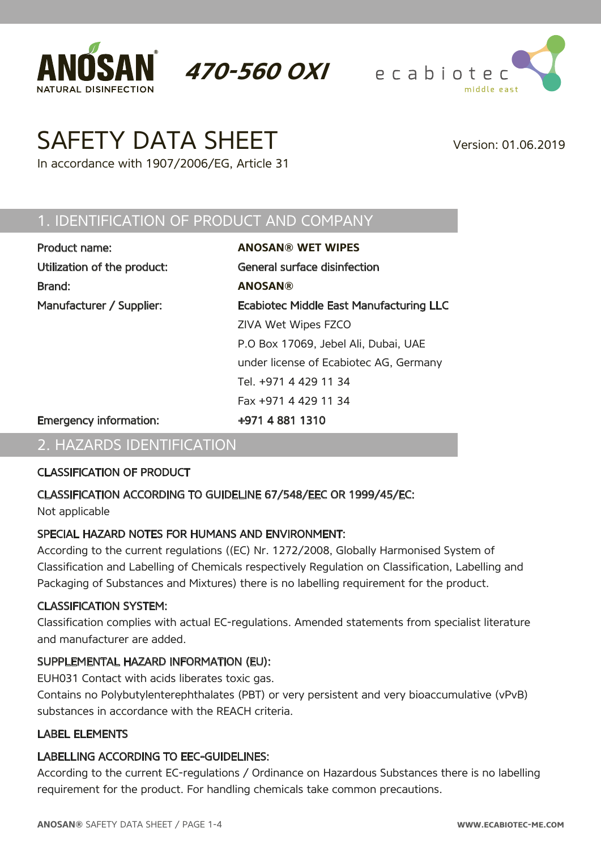



# SAFETY DATA SHEET Version: 01.06.2019

In accordance with 1907/2006/EG, Article 31

#### 1. IDENTIFICATION OF PRODUCT AND COMPANY

| Product name:                 | <b>ANOSAN® WET WIPES</b>                       |
|-------------------------------|------------------------------------------------|
| Utilization of the product:   | General surface disinfection                   |
| Brand:                        | <b>ANOSAN®</b>                                 |
| Manufacturer / Supplier:      | <b>Ecabiotec Middle East Manufacturing LLC</b> |
|                               | ZIVA Wet Wipes FZCO                            |
|                               | P.O Box 17069, Jebel Ali, Dubai, UAE           |
|                               | under license of Ecabiotec AG, Germany         |
|                               | Tel. +971 4 429 11 34                          |
|                               | Fax +971 4 429 11 34                           |
| <b>Emergency information:</b> | +971 4 881 1310                                |

**470-560 OXI**

#### 2. HAZARDS IDENTIFICATION

#### CLASSIFICATION OF PRODUCT

#### CLASSIFICATION ACCORDING TO GUIDELINE 67/548/EEC OR 1999/45/EC:

Not applicable

#### SPECIAL HAZARD NOTES FOR HUMANS AND ENVIRONMENT:

According to the current regulations ((EC) Nr. 1272/2008, Globally Harmonised System of Classification and Labelling of Chemicals respectively Regulation on Classification, Labelling and Packaging of Substances and Mixtures) there is no labelling requirement for the product.

#### CLASSIFICATION SYSTEM:

Classification complies with actual EC-regulations. Amended statements from specialist literature and manufacturer are added.

#### SUPPLEMENTAL HAZARD INFORMATION (EU):

EUH031 Contact with acids liberates toxic gas.

Contains no Polybutylenterephthalates (PBT) or very persistent and very bioaccumulative (vPvB) substances in accordance with the REACH criteria.

#### LABEL ELEMENTS

#### LABELLING ACCORDING TO EEC-GUIDELINES:

According to the current EC-regulations / Ordinance on Hazardous Substances there is no labelling requirement for the product. For handling chemicals take common precautions.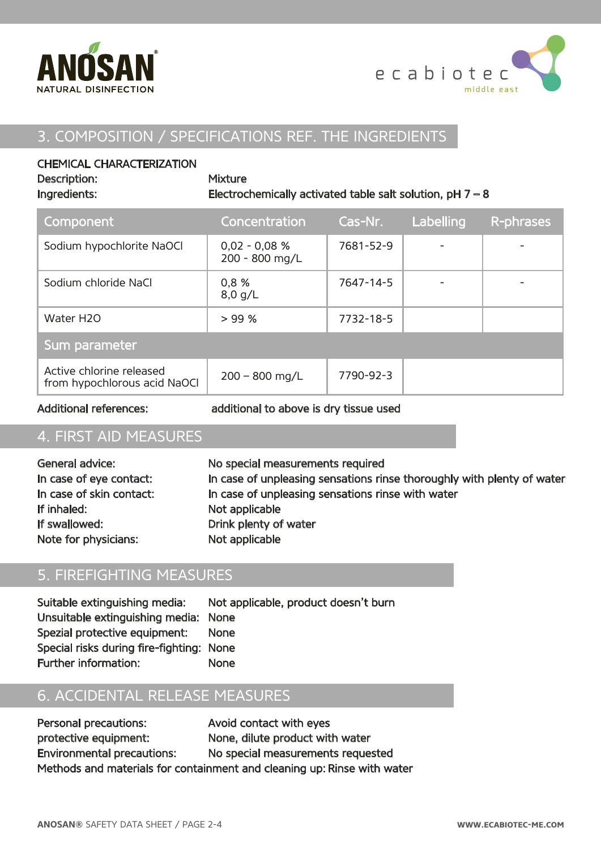



### 3. COMPOSITION / SPECIFICATIONS REF. THE INGREDIENTS

#### CHEMICAL CHARACTERIZATION

| Description:<br>Ingredients:                             | <b>Mixture</b><br>Electrochemically activated table salt solution, $pH 7 - 8$ |           |           |           |
|----------------------------------------------------------|-------------------------------------------------------------------------------|-----------|-----------|-----------|
| Component                                                | Concentration                                                                 | Cas-Nr.   | Labelling | R-phrases |
| Sodium hypochlorite NaOCl                                | $0,02 - 0,08 %$<br>200 - 800 mg/L                                             | 7681-52-9 |           |           |
| Sodium chloride NaCl                                     | 0.8%<br>$8,0$ g/L                                                             | 7647-14-5 |           |           |
| Water H2O                                                | > 99%                                                                         | 7732-18-5 |           |           |
| Sum parameter                                            |                                                                               |           |           |           |
| Active chlorine released<br>from hypochlorous acid NaOCI | $200 - 800$ mg/L                                                              | 7790-92-3 |           |           |

Additional references: additional to above is dry tissue used

## 4. FIRST AID MEASURES

| General advice:          | No special measurements required                                       |
|--------------------------|------------------------------------------------------------------------|
| In case of eye contact:  | In case of unpleasing sensations rinse thoroughly with plenty of water |
| In case of skin contact: | In case of unpleasing sensations rinse with water                      |
| If inhaled:              | Not applicable                                                         |
| If swallowed:            | Drink plenty of water                                                  |
| Note for physicians:     | Not applicable                                                         |

## 5. FIREFIGHTING MEASURES

| Suitable extinguishing media:            | Not applicable, product doesn't burn |
|------------------------------------------|--------------------------------------|
| Unsuitable extinguishing media: None     |                                      |
| Spezial protective equipment:            | <b>None</b>                          |
| Special risks during fire-fighting: None |                                      |
| Further information:                     | <b>None</b>                          |

#### 6. ACCIDENTAL RELEASE MEASURES

Personal precautions: Avoid contact with eyes protective equipment: None, dilute product with water Environmental precautions: No special measurements requested Methods and materials for containment and cleaning up: Rinse with water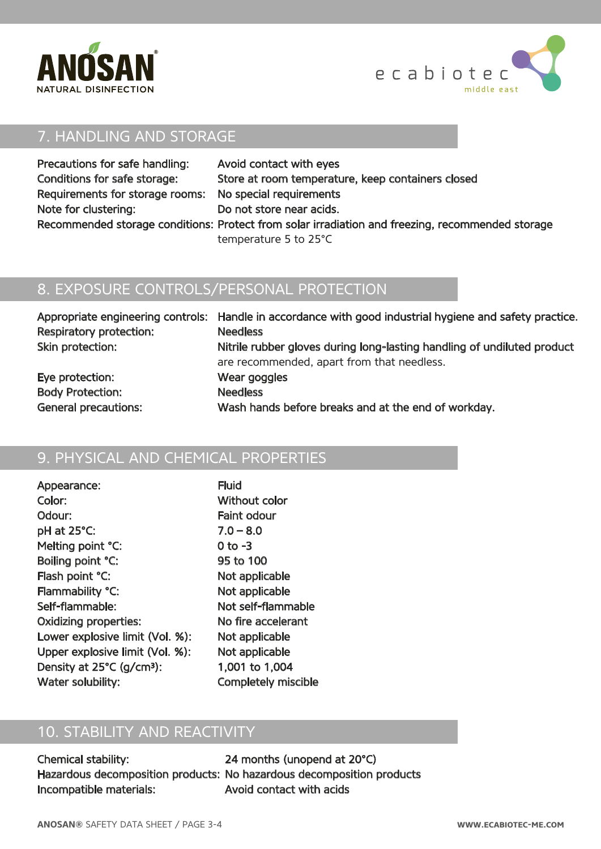



## 7. HANDLING AND STORAGE

| Precautions for safe handling:                          | Avoid contact with eyes                                                                          |
|---------------------------------------------------------|--------------------------------------------------------------------------------------------------|
| Conditions for safe storage:                            | Store at room temperature, keep containers closed                                                |
| Requirements for storage rooms: No special requirements |                                                                                                  |
| Note for clustering:                                    | Do not store near acids.                                                                         |
|                                                         | Recommended storage conditions: Protect from solar irradiation and freezing, recommended storage |
|                                                         | temperature 5 to 25°C                                                                            |

## 8. EXPOSURE CONTROLS/PERSONAL PROTECTION

|                             | Appropriate engineering controls: Handle in accordance with good industrial hygiene and safety practice. |
|-----------------------------|----------------------------------------------------------------------------------------------------------|
| Respiratory protection:     | <b>Needless</b>                                                                                          |
| Skin protection:            | Nitrile rubber gloves during long-lasting handling of undiluted product                                  |
|                             | are recommended, apart from that needless.                                                               |
| Eye protection:             | Wear goggles                                                                                             |
| <b>Body Protection:</b>     | <b>Needless</b>                                                                                          |
| <b>General precautions:</b> | Wash hands before breaks and at the end of workday.                                                      |

## 9. PHYSICAL AND CHEMICAL PROPERTIES

| Appearance:                           | <b>Fluid</b>               |
|---------------------------------------|----------------------------|
| Color:                                | Without color              |
| Odour:                                | <b>Faint odour</b>         |
| pH at 25°C:                           | $7.0 - 8.0$                |
| Melting point °C:                     | 0 to -3                    |
| Boiling point °C:                     | 95 to 100                  |
| Flash point °C:                       | Not applicable             |
| Flammability °C:                      | Not applicable             |
| Self-flammable:                       | Not self-flammable         |
| <b>Oxidizing properties:</b>          | No fire accelerant         |
| Lower explosive limit (Vol. %):       | Not applicable             |
| Upper explosive limit (Vol. %):       | Not applicable             |
| Density at 25°C (g/cm <sup>3</sup> ): | 1,001 to 1,004             |
| Water solubility:                     | <b>Completely miscible</b> |

## 10. STABILITY AND REACTIVITY

| <b>Chemical stability:</b>     |  |
|--------------------------------|--|
| Hazardous decomposition produc |  |
| Incompatible materials:        |  |

24 months (unopend at 20°C) tts: No hazardous decomposition products Avoid contact with acids